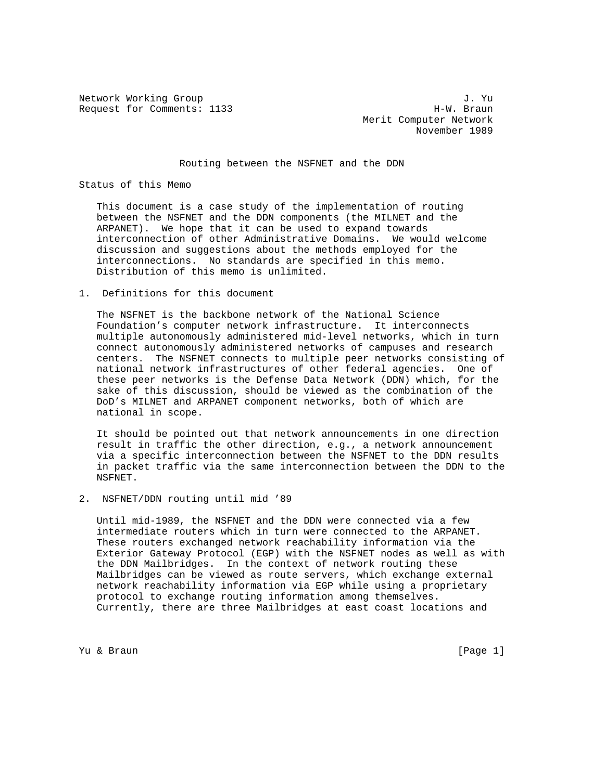Network Working Group J. Yu<br>Request for Comments: 1133 J. Yu Request for Comments: 1133

 Merit Computer Network November 1989

Routing between the NSFNET and the DDN

Status of this Memo

 This document is a case study of the implementation of routing between the NSFNET and the DDN components (the MILNET and the ARPANET). We hope that it can be used to expand towards interconnection of other Administrative Domains. We would welcome discussion and suggestions about the methods employed for the interconnections. No standards are specified in this memo. Distribution of this memo is unlimited.

1. Definitions for this document

 The NSFNET is the backbone network of the National Science Foundation's computer network infrastructure. It interconnects multiple autonomously administered mid-level networks, which in turn connect autonomously administered networks of campuses and research centers. The NSFNET connects to multiple peer networks consisting of national network infrastructures of other federal agencies. One of these peer networks is the Defense Data Network (DDN) which, for the sake of this discussion, should be viewed as the combination of the DoD's MILNET and ARPANET component networks, both of which are national in scope.

 It should be pointed out that network announcements in one direction result in traffic the other direction, e.g., a network announcement via a specific interconnection between the NSFNET to the DDN results in packet traffic via the same interconnection between the DDN to the NSFNET.

2. NSFNET/DDN routing until mid '89

 Until mid-1989, the NSFNET and the DDN were connected via a few intermediate routers which in turn were connected to the ARPANET. These routers exchanged network reachability information via the Exterior Gateway Protocol (EGP) with the NSFNET nodes as well as with the DDN Mailbridges. In the context of network routing these Mailbridges can be viewed as route servers, which exchange external network reachability information via EGP while using a proprietary protocol to exchange routing information among themselves. Currently, there are three Mailbridges at east coast locations and

Yu & Braun [Page 1]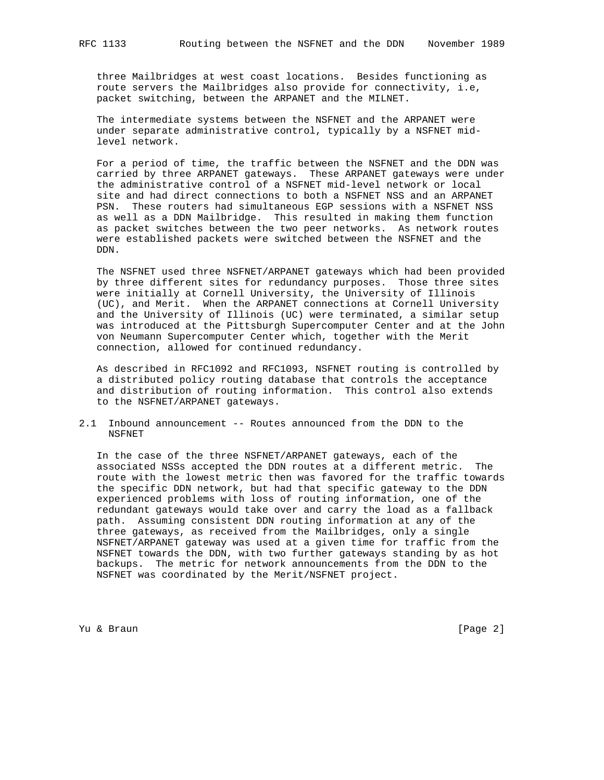three Mailbridges at west coast locations. Besides functioning as route servers the Mailbridges also provide for connectivity, i.e, packet switching, between the ARPANET and the MILNET.

 The intermediate systems between the NSFNET and the ARPANET were under separate administrative control, typically by a NSFNET mid level network.

 For a period of time, the traffic between the NSFNET and the DDN was carried by three ARPANET gateways. These ARPANET gateways were under the administrative control of a NSFNET mid-level network or local site and had direct connections to both a NSFNET NSS and an ARPANET PSN. These routers had simultaneous EGP sessions with a NSFNET NSS as well as a DDN Mailbridge. This resulted in making them function as packet switches between the two peer networks. As network routes were established packets were switched between the NSFNET and the DDN.

 The NSFNET used three NSFNET/ARPANET gateways which had been provided by three different sites for redundancy purposes. Those three sites were initially at Cornell University, the University of Illinois (UC), and Merit. When the ARPANET connections at Cornell University and the University of Illinois (UC) were terminated, a similar setup was introduced at the Pittsburgh Supercomputer Center and at the John von Neumann Supercomputer Center which, together with the Merit connection, allowed for continued redundancy.

 As described in RFC1092 and RFC1093, NSFNET routing is controlled by a distributed policy routing database that controls the acceptance and distribution of routing information. This control also extends to the NSFNET/ARPANET gateways.

2.1 Inbound announcement -- Routes announced from the DDN to the NSFNET

 In the case of the three NSFNET/ARPANET gateways, each of the associated NSSs accepted the DDN routes at a different metric. The route with the lowest metric then was favored for the traffic towards the specific DDN network, but had that specific gateway to the DDN experienced problems with loss of routing information, one of the redundant gateways would take over and carry the load as a fallback path. Assuming consistent DDN routing information at any of the three gateways, as received from the Mailbridges, only a single NSFNET/ARPANET gateway was used at a given time for traffic from the NSFNET towards the DDN, with two further gateways standing by as hot backups. The metric for network announcements from the DDN to the NSFNET was coordinated by the Merit/NSFNET project.

Yu & Braun [Page 2]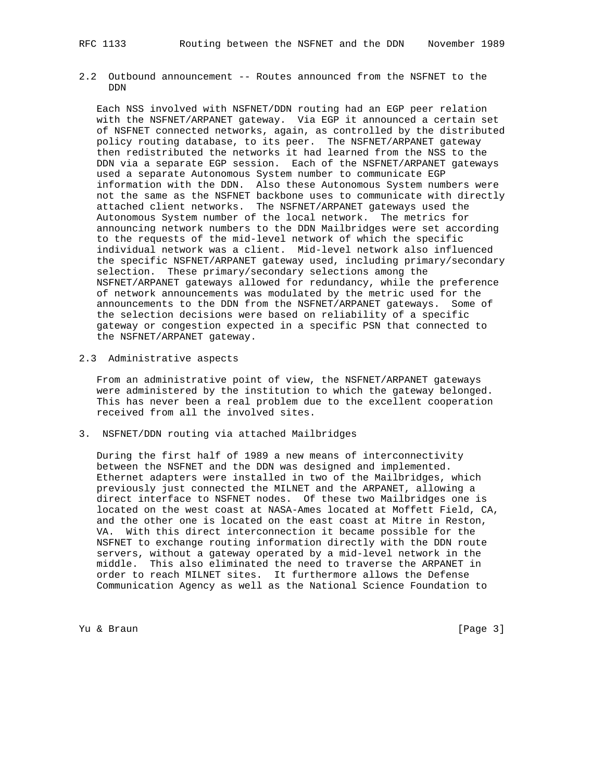2.2 Outbound announcement -- Routes announced from the NSFNET to the DDN

 Each NSS involved with NSFNET/DDN routing had an EGP peer relation with the NSFNET/ARPANET gateway. Via EGP it announced a certain set of NSFNET connected networks, again, as controlled by the distributed policy routing database, to its peer. The NSFNET/ARPANET gateway then redistributed the networks it had learned from the NSS to the DDN via a separate EGP session. Each of the NSFNET/ARPANET gateways used a separate Autonomous System number to communicate EGP information with the DDN. Also these Autonomous System numbers were not the same as the NSFNET backbone uses to communicate with directly attached client networks. The NSFNET/ARPANET gateways used the Autonomous System number of the local network. The metrics for announcing network numbers to the DDN Mailbridges were set according to the requests of the mid-level network of which the specific individual network was a client. Mid-level network also influenced the specific NSFNET/ARPANET gateway used, including primary/secondary selection. These primary/secondary selections among the NSFNET/ARPANET gateways allowed for redundancy, while the preference of network announcements was modulated by the metric used for the announcements to the DDN from the NSFNET/ARPANET gateways. Some of the selection decisions were based on reliability of a specific gateway or congestion expected in a specific PSN that connected to the NSFNET/ARPANET gateway.

## 2.3 Administrative aspects

 From an administrative point of view, the NSFNET/ARPANET gateways were administered by the institution to which the gateway belonged. This has never been a real problem due to the excellent cooperation received from all the involved sites.

3. NSFNET/DDN routing via attached Mailbridges

 During the first half of 1989 a new means of interconnectivity between the NSFNET and the DDN was designed and implemented. Ethernet adapters were installed in two of the Mailbridges, which previously just connected the MILNET and the ARPANET, allowing a direct interface to NSFNET nodes. Of these two Mailbridges one is located on the west coast at NASA-Ames located at Moffett Field, CA, and the other one is located on the east coast at Mitre in Reston, VA. With this direct interconnection it became possible for the NSFNET to exchange routing information directly with the DDN route servers, without a gateway operated by a mid-level network in the middle. This also eliminated the need to traverse the ARPANET in order to reach MILNET sites. It furthermore allows the Defense Communication Agency as well as the National Science Foundation to

Yu & Braun [Page 3]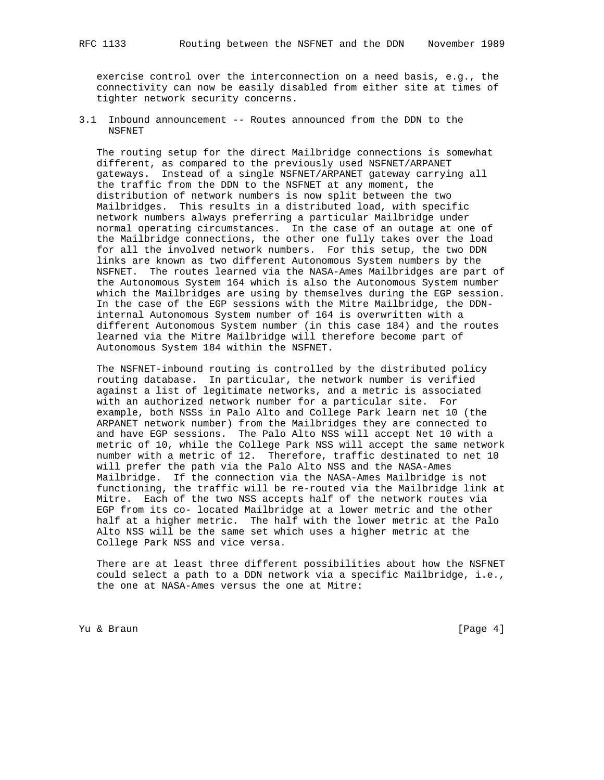exercise control over the interconnection on a need basis, e.g., the connectivity can now be easily disabled from either site at times of tighter network security concerns.

3.1 Inbound announcement -- Routes announced from the DDN to the NSFNET

 The routing setup for the direct Mailbridge connections is somewhat different, as compared to the previously used NSFNET/ARPANET gateways. Instead of a single NSFNET/ARPANET gateway carrying all the traffic from the DDN to the NSFNET at any moment, the distribution of network numbers is now split between the two Mailbridges. This results in a distributed load, with specific network numbers always preferring a particular Mailbridge under normal operating circumstances. In the case of an outage at one of the Mailbridge connections, the other one fully takes over the load for all the involved network numbers. For this setup, the two DDN links are known as two different Autonomous System numbers by the NSFNET. The routes learned via the NASA-Ames Mailbridges are part of the Autonomous System 164 which is also the Autonomous System number which the Mailbridges are using by themselves during the EGP session. In the case of the EGP sessions with the Mitre Mailbridge, the DDN internal Autonomous System number of 164 is overwritten with a different Autonomous System number (in this case 184) and the routes learned via the Mitre Mailbridge will therefore become part of Autonomous System 184 within the NSFNET.

 The NSFNET-inbound routing is controlled by the distributed policy routing database. In particular, the network number is verified against a list of legitimate networks, and a metric is associated with an authorized network number for a particular site. For example, both NSSs in Palo Alto and College Park learn net 10 (the ARPANET network number) from the Mailbridges they are connected to and have EGP sessions. The Palo Alto NSS will accept Net 10 with a metric of 10, while the College Park NSS will accept the same network number with a metric of 12. Therefore, traffic destinated to net 10 will prefer the path via the Palo Alto NSS and the NASA-Ames Mailbridge. If the connection via the NASA-Ames Mailbridge is not functioning, the traffic will be re-routed via the Mailbridge link at Mitre. Each of the two NSS accepts half of the network routes via EGP from its co- located Mailbridge at a lower metric and the other half at a higher metric. The half with the lower metric at the Palo Alto NSS will be the same set which uses a higher metric at the College Park NSS and vice versa.

 There are at least three different possibilities about how the NSFNET could select a path to a DDN network via a specific Mailbridge, i.e., the one at NASA-Ames versus the one at Mitre:

Yu & Braun [Page 4]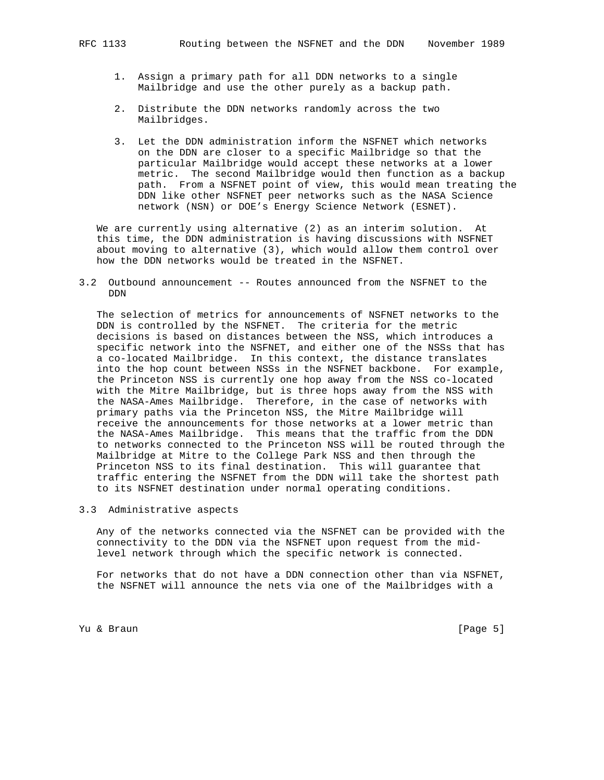- 1. Assign a primary path for all DDN networks to a single Mailbridge and use the other purely as a backup path.
- 2. Distribute the DDN networks randomly across the two Mailbridges.
- 3. Let the DDN administration inform the NSFNET which networks on the DDN are closer to a specific Mailbridge so that the particular Mailbridge would accept these networks at a lower metric. The second Mailbridge would then function as a backup path. From a NSFNET point of view, this would mean treating the DDN like other NSFNET peer networks such as the NASA Science network (NSN) or DOE's Energy Science Network (ESNET).

 We are currently using alternative (2) as an interim solution. At this time, the DDN administration is having discussions with NSFNET about moving to alternative (3), which would allow them control over how the DDN networks would be treated in the NSFNET.

3.2 Outbound announcement -- Routes announced from the NSFNET to the DDN

 The selection of metrics for announcements of NSFNET networks to the DDN is controlled by the NSFNET. The criteria for the metric decisions is based on distances between the NSS, which introduces a specific network into the NSFNET, and either one of the NSSs that has a co-located Mailbridge. In this context, the distance translates into the hop count between NSSs in the NSFNET backbone. For example, the Princeton NSS is currently one hop away from the NSS co-located with the Mitre Mailbridge, but is three hops away from the NSS with the NASA-Ames Mailbridge. Therefore, in the case of networks with primary paths via the Princeton NSS, the Mitre Mailbridge will receive the announcements for those networks at a lower metric than the NASA-Ames Mailbridge. This means that the traffic from the DDN to networks connected to the Princeton NSS will be routed through the Mailbridge at Mitre to the College Park NSS and then through the Princeton NSS to its final destination. This will guarantee that traffic entering the NSFNET from the DDN will take the shortest path to its NSFNET destination under normal operating conditions.

3.3 Administrative aspects

 Any of the networks connected via the NSFNET can be provided with the connectivity to the DDN via the NSFNET upon request from the mid level network through which the specific network is connected.

 For networks that do not have a DDN connection other than via NSFNET, the NSFNET will announce the nets via one of the Mailbridges with a

Yu & Braun [Page 5]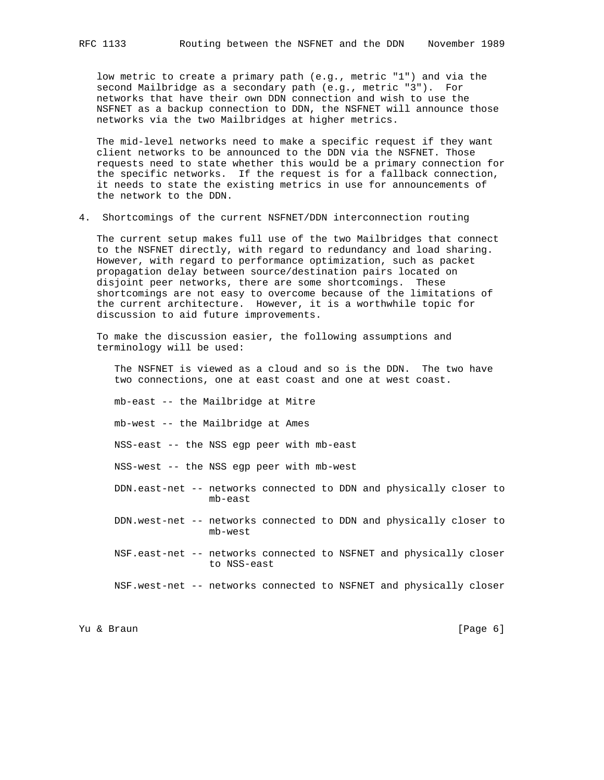low metric to create a primary path (e.g., metric "1") and via the second Mailbridge as a secondary path (e.g., metric "3"). For networks that have their own DDN connection and wish to use the NSFNET as a backup connection to DDN, the NSFNET will announce those networks via the two Mailbridges at higher metrics.

 The mid-level networks need to make a specific request if they want client networks to be announced to the DDN via the NSFNET. Those requests need to state whether this would be a primary connection for the specific networks. If the request is for a fallback connection, it needs to state the existing metrics in use for announcements of the network to the DDN.

4. Shortcomings of the current NSFNET/DDN interconnection routing

 The current setup makes full use of the two Mailbridges that connect to the NSFNET directly, with regard to redundancy and load sharing. However, with regard to performance optimization, such as packet propagation delay between source/destination pairs located on disjoint peer networks, there are some shortcomings. These shortcomings are not easy to overcome because of the limitations of the current architecture. However, it is a worthwhile topic for discussion to aid future improvements.

 To make the discussion easier, the following assumptions and terminology will be used:

 The NSFNET is viewed as a cloud and so is the DDN. The two have two connections, one at east coast and one at west coast.

mb-east -- the Mailbridge at Mitre

mb-west -- the Mailbridge at Ames

NSS-east -- the NSS egp peer with mb-east

NSS-west -- the NSS egp peer with mb-west

- DDN.east-net -- networks connected to DDN and physically closer to mb-east
- DDN.west-net -- networks connected to DDN and physically closer to mb-west
- NSF.east-net -- networks connected to NSFNET and physically closer to NSS-east

NSF.west-net -- networks connected to NSFNET and physically closer

Yu & Braun [Page 6]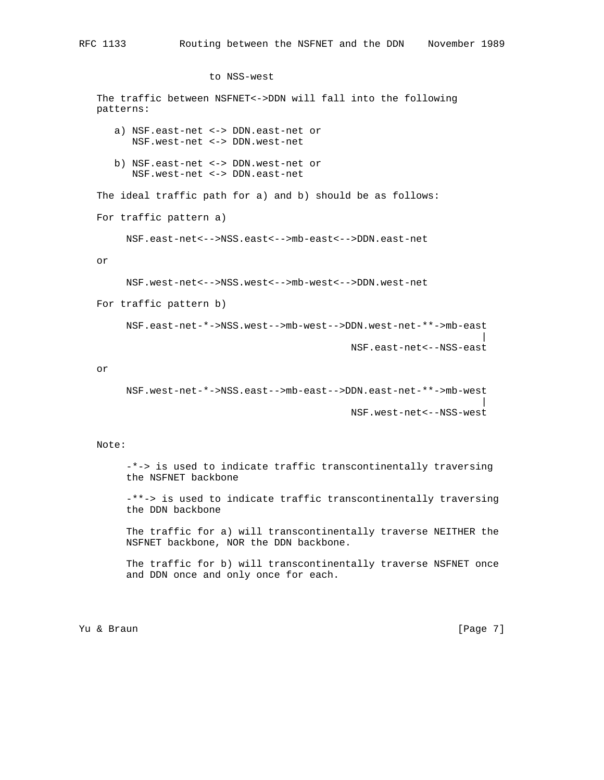## to NSS-west

 The traffic between NSFNET<->DDN will fall into the following patterns: a) NSF.east-net <-> DDN.east-net or NSF.west-net <-> DDN.west-net b) NSF.east-net <-> DDN.west-net or NSF.west-net <-> DDN.east-net The ideal traffic path for a) and b) should be as follows: For traffic pattern a) NSF.east-net<-->NSS.east<-->mb-east<-->DDN.east-net or NSF.west-net<-->NSS.west<-->mb-west<-->DDN.west-net For traffic pattern b) NSF.east-net-\*->NSS.west-->mb-west-->DDN.west-net-\*\*->mb-east | NSF.east-net<--NSS-east or NSF.west-net-\*->NSS.east-->mb-east-->DDN.east-net-\*\*->mb-west | NSF.west-net<--NSS-west

## Note:

 -\*-> is used to indicate traffic transcontinentally traversing the NSFNET backbone

 -\*\*-> is used to indicate traffic transcontinentally traversing the DDN backbone

 The traffic for a) will transcontinentally traverse NEITHER the NSFNET backbone, NOR the DDN backbone.

 The traffic for b) will transcontinentally traverse NSFNET once and DDN once and only once for each.

Yu & Braun [Page 7]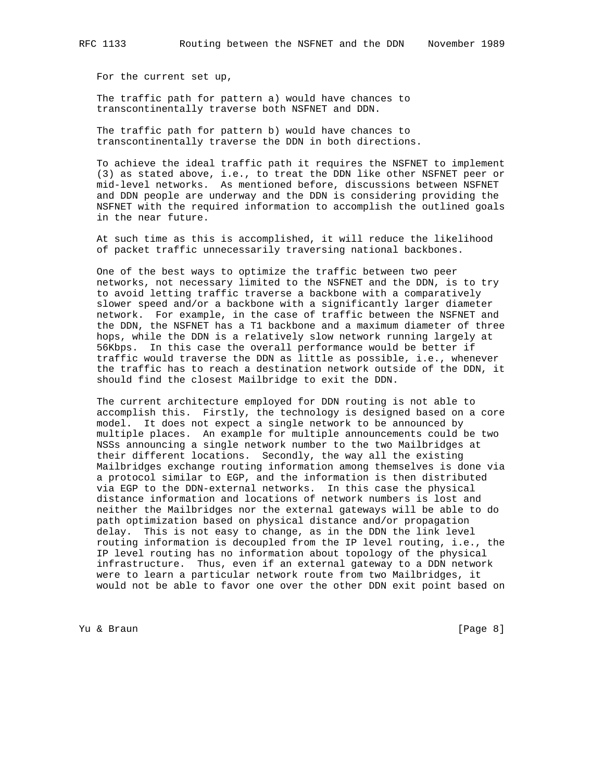For the current set up,

 The traffic path for pattern a) would have chances to transcontinentally traverse both NSFNET and DDN.

 The traffic path for pattern b) would have chances to transcontinentally traverse the DDN in both directions.

 To achieve the ideal traffic path it requires the NSFNET to implement (3) as stated above, i.e., to treat the DDN like other NSFNET peer or mid-level networks. As mentioned before, discussions between NSFNET and DDN people are underway and the DDN is considering providing the NSFNET with the required information to accomplish the outlined goals in the near future.

 At such time as this is accomplished, it will reduce the likelihood of packet traffic unnecessarily traversing national backbones.

 One of the best ways to optimize the traffic between two peer networks, not necessary limited to the NSFNET and the DDN, is to try to avoid letting traffic traverse a backbone with a comparatively slower speed and/or a backbone with a significantly larger diameter network. For example, in the case of traffic between the NSFNET and the DDN, the NSFNET has a T1 backbone and a maximum diameter of three hops, while the DDN is a relatively slow network running largely at 56Kbps. In this case the overall performance would be better if traffic would traverse the DDN as little as possible, i.e., whenever the traffic has to reach a destination network outside of the DDN, it should find the closest Mailbridge to exit the DDN.

 The current architecture employed for DDN routing is not able to accomplish this. Firstly, the technology is designed based on a core model. It does not expect a single network to be announced by multiple places. An example for multiple announcements could be two NSSs announcing a single network number to the two Mailbridges at their different locations. Secondly, the way all the existing Mailbridges exchange routing information among themselves is done via a protocol similar to EGP, and the information is then distributed via EGP to the DDN-external networks. In this case the physical distance information and locations of network numbers is lost and neither the Mailbridges nor the external gateways will be able to do path optimization based on physical distance and/or propagation delay. This is not easy to change, as in the DDN the link level routing information is decoupled from the IP level routing, i.e., the IP level routing has no information about topology of the physical infrastructure. Thus, even if an external gateway to a DDN network were to learn a particular network route from two Mailbridges, it would not be able to favor one over the other DDN exit point based on

Yu & Braun [Page 8]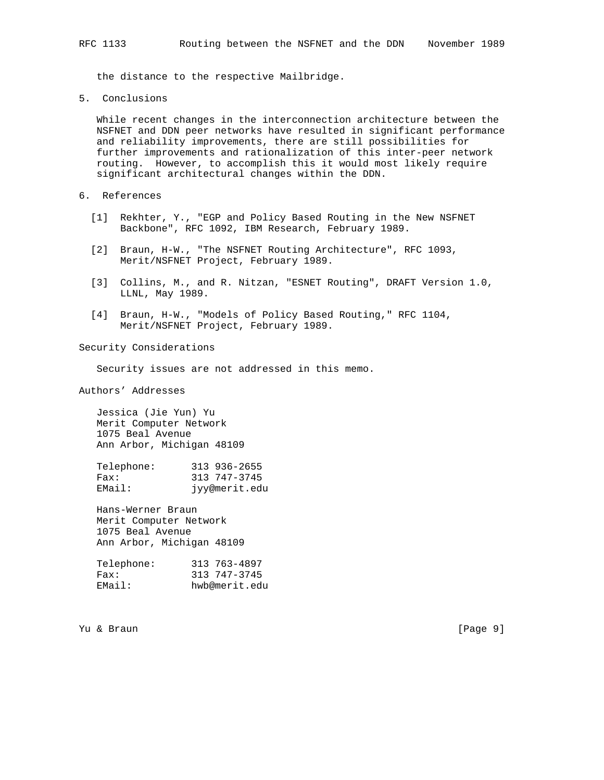the distance to the respective Mailbridge.

5. Conclusions

 While recent changes in the interconnection architecture between the NSFNET and DDN peer networks have resulted in significant performance and reliability improvements, there are still possibilities for further improvements and rationalization of this inter-peer network routing. However, to accomplish this it would most likely require significant architectural changes within the DDN.

- 6. References
	- [1] Rekhter, Y., "EGP and Policy Based Routing in the New NSFNET Backbone", RFC 1092, IBM Research, February 1989.
	- [2] Braun, H-W., "The NSFNET Routing Architecture", RFC 1093, Merit/NSFNET Project, February 1989.
	- [3] Collins, M., and R. Nitzan, "ESNET Routing", DRAFT Version 1.0, LLNL, May 1989.
	- [4] Braun, H-W., "Models of Policy Based Routing," RFC 1104, Merit/NSFNET Project, February 1989.

Security Considerations

Security issues are not addressed in this memo.

Authors' Addresses

 Jessica (Jie Yun) Yu Merit Computer Network 1075 Beal Avenue Ann Arbor, Michigan 48109

 Telephone: 313 936-2655 Fax: 313 747-3745 EMail: jyy@merit.edu

 Hans-Werner Braun Merit Computer Network 1075 Beal Avenue Ann Arbor, Michigan 48109

| Telephone: | 313 763-4897  |
|------------|---------------|
| Fax:       | 313 747-3745  |
| EMail:     | hwb@merit.edu |

Yu & Braun [Page 9]